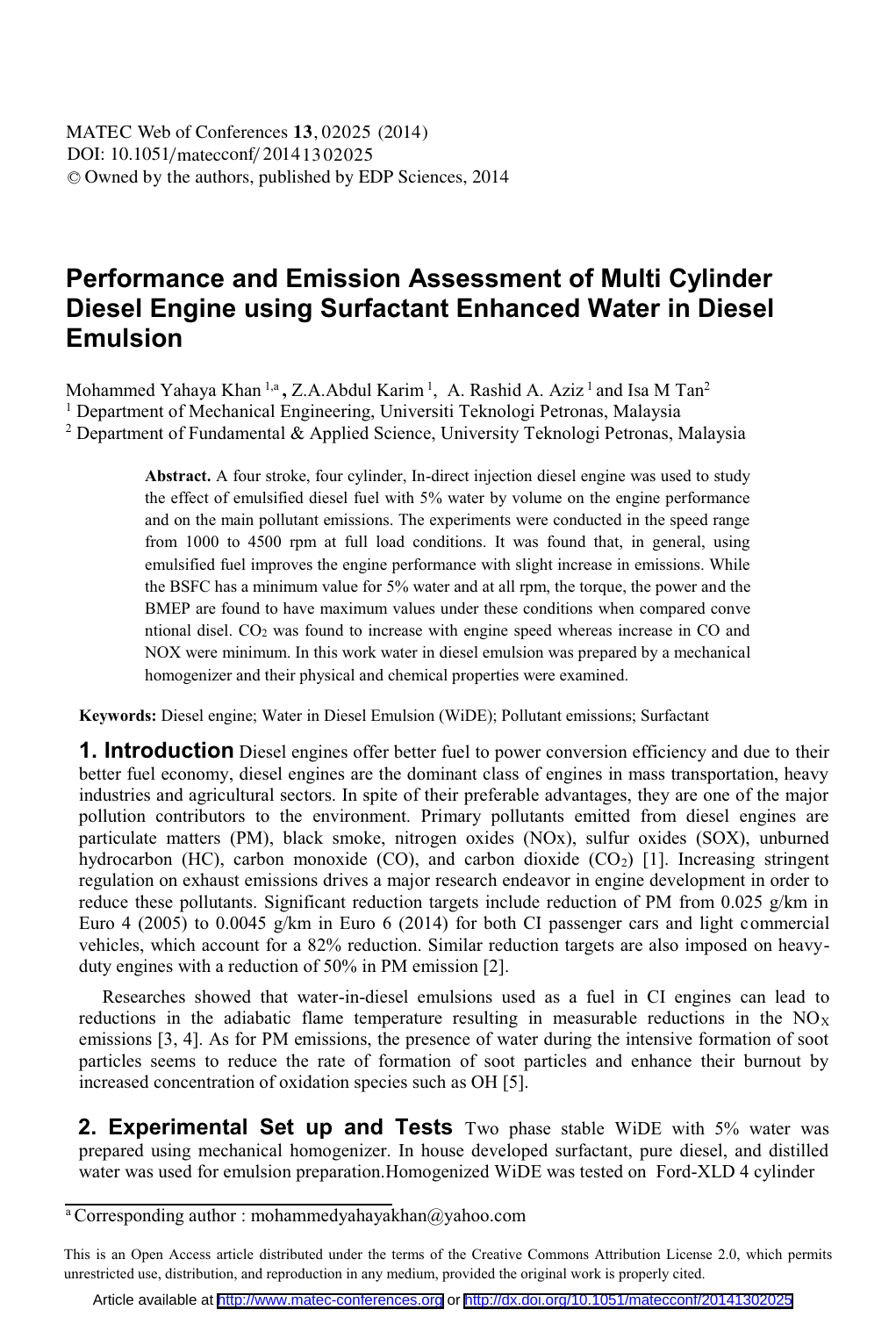# **Performance and Emission Assessment of Multi Cylinder Diesel Engine using Surfactant Enhanced Water in Diesel Emulsion**

Mohammed Yahaya Khan <sup>1,a</sup>, Z.A.Abdul Karim <sup>1</sup>, A. Rashid A. Aziz <sup>1</sup> and Isa M Tan<sup>2</sup> <sup>1</sup> Department of Mechanical Engineering, Universiti Teknologi Petronas, Malaysia 2 Department of Fundamental & Applied Science, University Teknologi Petronas, Malaysia

> **Abstract.** A four stroke, four cylinder, In-direct injection diesel engine was used to study the effect of emulsified diesel fuel with 5% water by volume on the engine performance and on the main pollutant emissions. The experiments were conducted in the speed range from 1000 to 4500 rpm at full load conditions. It was found that, in general, using emulsified fuel improves the engine performance with slight increase in emissions. While the BSFC has a minimum value for 5% water and at all rpm, the torque, the power and the BMEP are found to have maximum values under these conditions when compared conve ntional disel. CO2 was found to increase with engine speed whereas increase in CO and NOX were minimum. In this work water in diesel emulsion was prepared by a mechanical homogenizer and their physical and chemical properties were examined.

**Keywords:** Diesel engine; Water in Diesel Emulsion (WiDE); Pollutant emissions; Surfactant

**1. Introduction** Diesel engines offer better fuel to power conversion efficiency and due to their better fuel economy, diesel engines are the dominant class of engines in mass transportation, heavy industries and agricultural sectors. In spite of their preferable advantages, they are one of the major pollution contributors to the environment. Primary pollutants emitted from diesel engines are particulate matters (PM), black smoke, nitrogen oxides (NOx), sulfur oxides (SOX), unburned hydrocarbon (HC), carbon monoxide (CO), and carbon dioxide  $(CO<sub>2</sub>)$  [1]. Increasing stringent regulation on exhaust emissions drives a major research endeavor in engine development in order to reduce these pollutants. Significant reduction targets include reduction of PM from 0.025 g/km in Euro 4 (2005) to 0.0045 g/km in Euro 6 (2014) for both CI passenger cars and light commercial vehicles, which account for a 82% reduction. Similar reduction targets are also imposed on heavyduty engines with a reduction of 50% in PM emission [2].

 Researches showed that water-in-diesel emulsions used as a fuel in CI engines can lead to reductions in the adiabatic flame temperature resulting in measurable reductions in the  $NO<sub>X</sub>$ emissions [3, 4]. As for PM emissions, the presence of water during the intensive formation of soot particles seems to reduce the rate of formation of soot particles and enhance their burnout by increased concentration of oxidation species such as OH [5].

 **2. Experimental Set up and Tests** Two phase stable WiDE with 5% water was prepared using mechanical homogenizer. In house developed surfactant, pure diesel, and distilled water was used for emulsion preparation.Homogenized WiDE was tested on Ford-XLD 4 cylinder

a Corresponding author : mohammedyahayakhan@yahoo.com

This is an Open Access article distributed under the terms of the Creative Commons Attribution License 2.0, which permits unrestricted use, distribution, and reproduction in any medium, provided the original work is properly cited.

Article available at <http://www.matec-conferences.org> or <http://dx.doi.org/10.1051/matecconf/20141302025>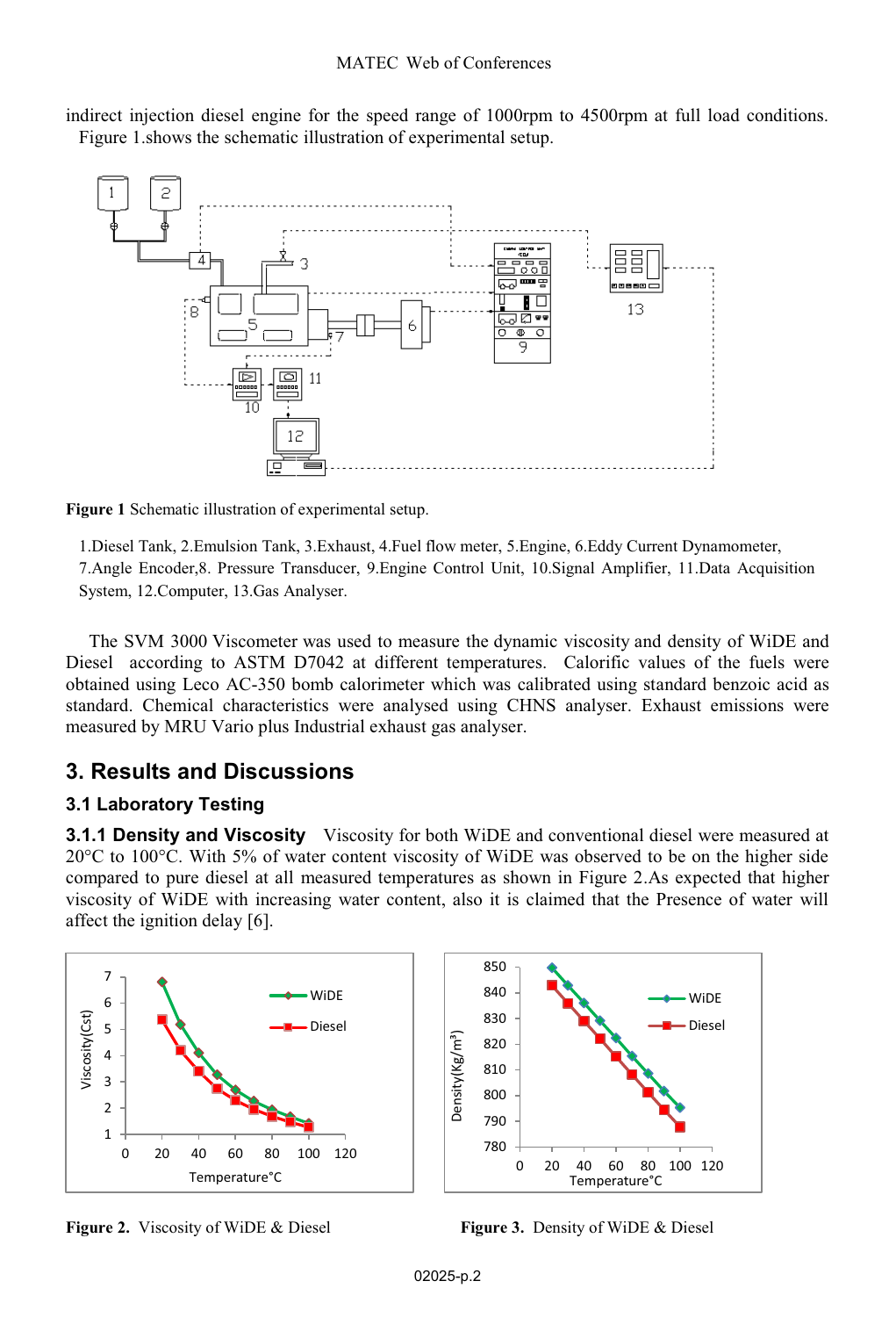indirect injection diesel engine for the speed range of 1000rpm to 4500rpm at full load conditions. Figure 1.shows the schematic illustration of experimental setup.





1.Diesel Tank, 2.Emulsion Tank, 3.Exhaust, 4.Fuel flow meter, 5.Engine, 6.Eddy Current Dynamometer, 7.Angle Encoder,8. Pressure Transducer, 9.Engine Control Unit, 10.Signal Amplifier, 11.Data Acquisition System, 12.Computer, 13.Gas Analyser.

The SVM 3000 Viscometer was used to measure the dynamic viscosity and density of WiDE and Diesel according to ASTM D7042 at different temperatures. Calorific values of the fuels were obtained using Leco AC-350 bomb calorimeter which was calibrated using standard benzoic acid as standard. Chemical characteristics were analysed using CHNS analyser. Exhaust emissions were measured by MRU Vario plus Industrial exhaust gas analyser.

# **3. Results and Discussions**

### **3.1 Laboratory Testing**

**3.1.1 Density and Viscosity** Viscosity for both WiDE and conventional diesel were measured at 20°C to 100°C. With 5% of water content viscosity of WiDE was observed to be on the higher side compared to pure diesel at all measured temperatures as shown in Figure 2.As expected that higher viscosity of WiDE with increasing water content, also it is claimed that the Presence of water will affect the ignition delay [6].





**Figure 2.** Viscosity of WiDE & Diesel **Figure 3.** Density of WiDE & Diesel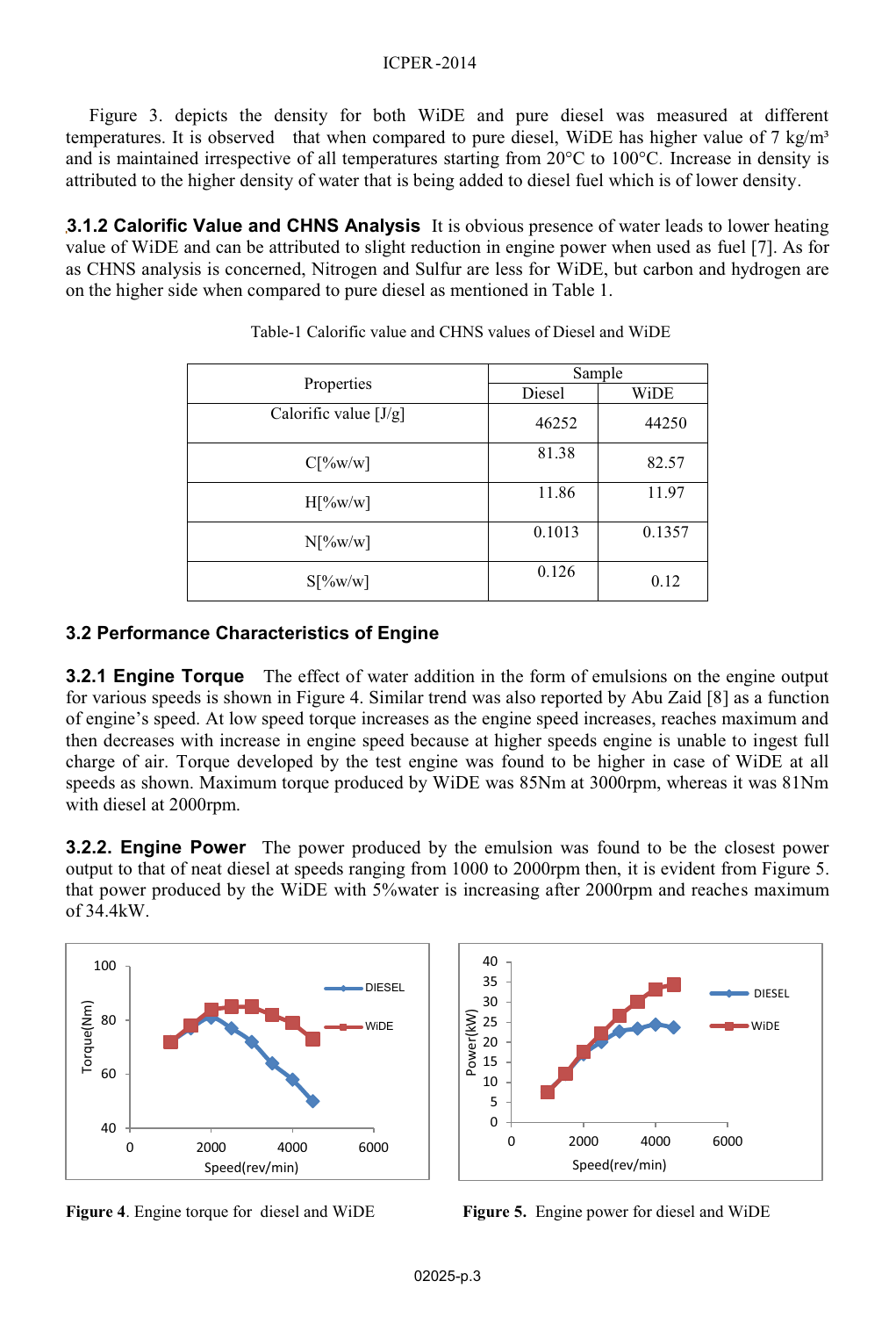#### ICPER -2014

Figure 3. depicts the density for both WiDE and pure diesel was measured at different temperatures. It is observed that when compared to pure diesel, WiDE has higher value of 7 kg/m<sup>3</sup> and is maintained irrespective of all temperatures starting from 20°C to 100°C. Increase in density is attributed to the higher density of water that is being added to diesel fuel which is of lower density.

**3.1.2 Calorific Value and CHNS Analysis** It is obvious presence of water leads to lower heating value of WiDE and can be attributed to slight reduction in engine power when used as fuel [7]. As for as CHNS analysis is concerned, Nitrogen and Sulfur are less for WiDE, but carbon and hydrogen are on the higher side when compared to pure diesel as mentioned in Table 1.

| Properties              | Sample |        |
|-------------------------|--------|--------|
|                         | Diesel | WiDE   |
| Calorific value $[J/g]$ | 46252  | 44250  |
| C[%w/w]                 | 81.38  | 82.57  |
| $H[\%w/w]$              | 11.86  | 11.97  |
| $N[\%w/w]$              | 0.1013 | 0.1357 |
| $S[\%w/w]$              | 0.126  | 0.12   |

### **3.2 Performance Characteristics of Engine**

**3.2.1 Engine Torque** The effect of water addition in the form of emulsions on the engine output for various speeds is shown in Figure 4. Similar trend was also reported by Abu Zaid [8] as a function of engine's speed. At low speed torque increases as the engine speed increases, reaches maximum and then decreases with increase in engine speed because at higher speeds engine is unable to ingest full charge of air. Torque developed by the test engine was found to be higher in case of WiDE at all speeds as shown. Maximum torque produced by WiDE was 85Nm at 3000rpm, whereas it was 81Nm with diesel at 2000rpm.

**3.2.2. Engine Power** The power produced by the emulsion was found to be the closest power output to that of neat diesel at speeds ranging from 1000 to 2000rpm then, it is evident from Figure 5. that power produced by the WiDE with 5%water is increasing after 2000rpm and reaches maximum of 34.4kW.





**Figure 4**. Engine torque for diesel and WiDE **Figure 5.** Engine power for diesel and WiDE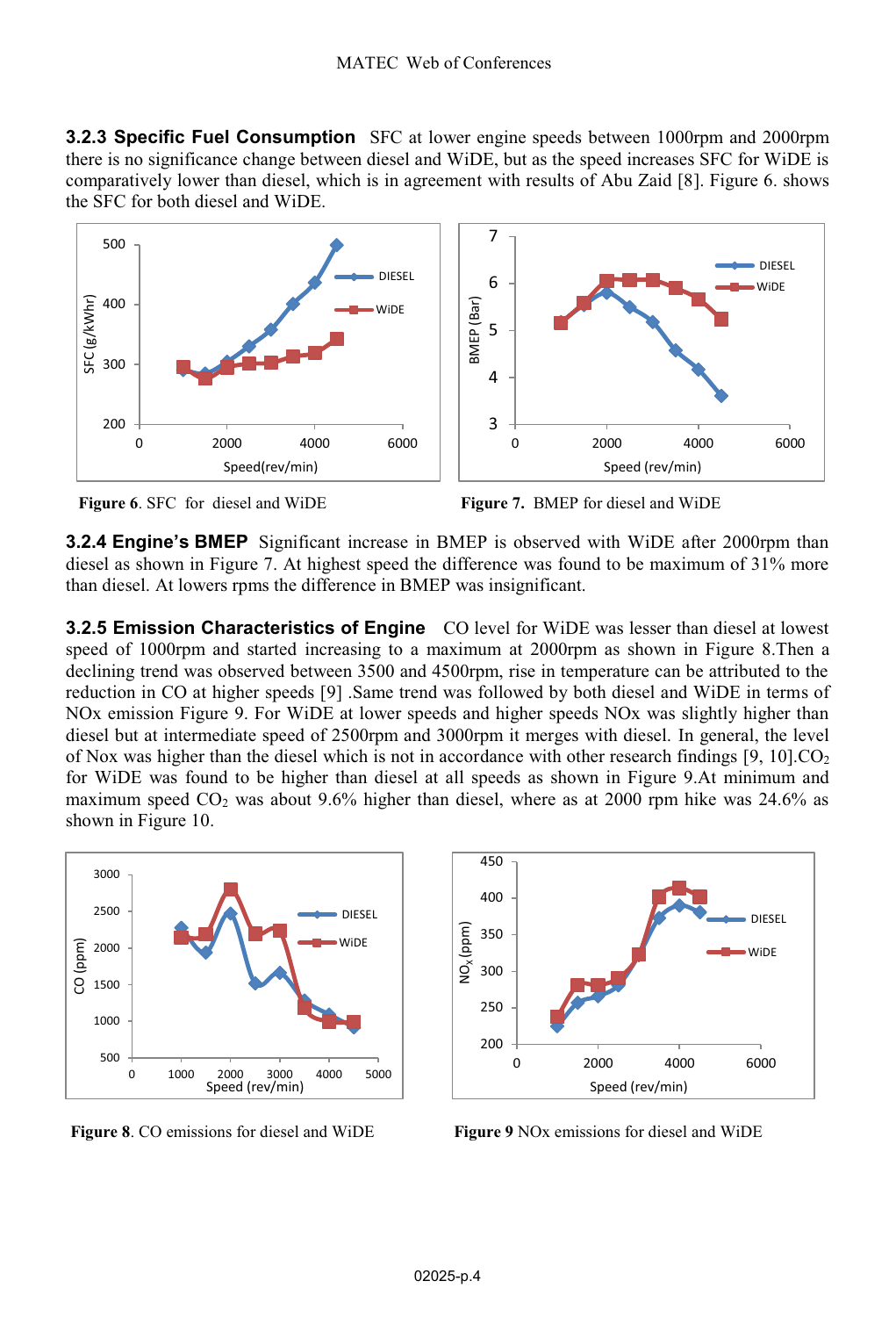**3.2.3 Specific Fuel Consumption** SFC at lower engine speeds between 1000rpm and 2000rpm there is no significance change between diesel and WiDE, but as the speed increases SFC for WiDE is comparatively lower than diesel, which is in agreement with results of Abu Zaid [8]. Figure 6. shows the SFC for both diesel and WiDE.







**3.2.4 Engine's BMEP** Significant increase in BMEP is observed with WiDE after 2000rpm than diesel as shown in Figure 7. At highest speed the difference was found to be maximum of 31% more than diesel. At lowers rpms the difference in BMEP was insignificant.

**3.2.5 Emission Characteristics of Engine** CO level for WiDE was lesser than diesel at lowest speed of 1000rpm and started increasing to a maximum at 2000rpm as shown in Figure 8.Then a declining trend was observed between 3500 and 4500rpm, rise in temperature can be attributed to the reduction in CO at higher speeds [9] .Same trend was followed by both diesel and WiDE in terms of NOx emission Figure 9. For WiDE at lower speeds and higher speeds NOx was slightly higher than diesel but at intermediate speed of 2500rpm and 3000rpm it merges with diesel. In general, the level of Nox was higher than the diesel which is not in accordance with other research findings  $[9, 10]$ .CO<sub>2</sub> for WiDE was found to be higher than diesel at all speeds as shown in Figure 9.At minimum and maximum speed  $CO<sub>2</sub>$  was about 9.6% higher than diesel, where as at 2000 rpm hike was 24.6% as shown in Figure 10.